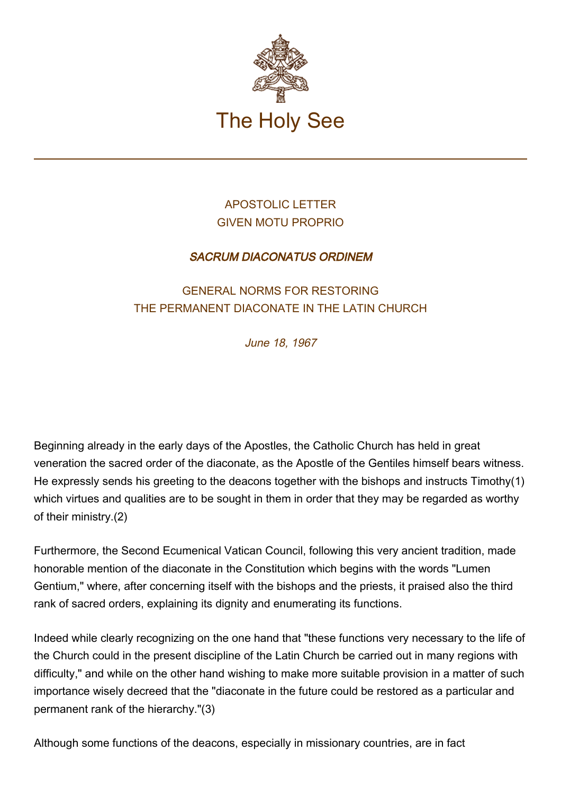

# APOSTOLIC LETTER GIVEN MOTU PROPRIO

## SACRUM DIACONATUS ORDINEM

# GENERAL NORMS FOR RESTORING THE PERMANENT DIACONATE IN THE LATIN CHURCH

June 18, 1967

Beginning already in the early days of the Apostles, the Catholic Church has held in great veneration the sacred order of the diaconate, as the Apostle of the Gentiles himself bears witness. He expressly sends his greeting to the deacons together with the bishops and instructs Timothy(1) which virtues and qualities are to be sought in them in order that they may be regarded as worthy of their ministry.(2)

Furthermore, the Second Ecumenical Vatican Council, following this very ancient tradition, made honorable mention of the diaconate in the Constitution which begins with the words "Lumen Gentium," where, after concerning itself with the bishops and the priests, it praised also the third rank of sacred orders, explaining its dignity and enumerating its functions.

Indeed while clearly recognizing on the one hand that "these functions very necessary to the life of the Church could in the present discipline of the Latin Church be carried out in many regions with difficulty," and while on the other hand wishing to make more suitable provision in a matter of such importance wisely decreed that the "diaconate in the future could be restored as a particular and permanent rank of the hierarchy."(3)

Although some functions of the deacons, especially in missionary countries, are in fact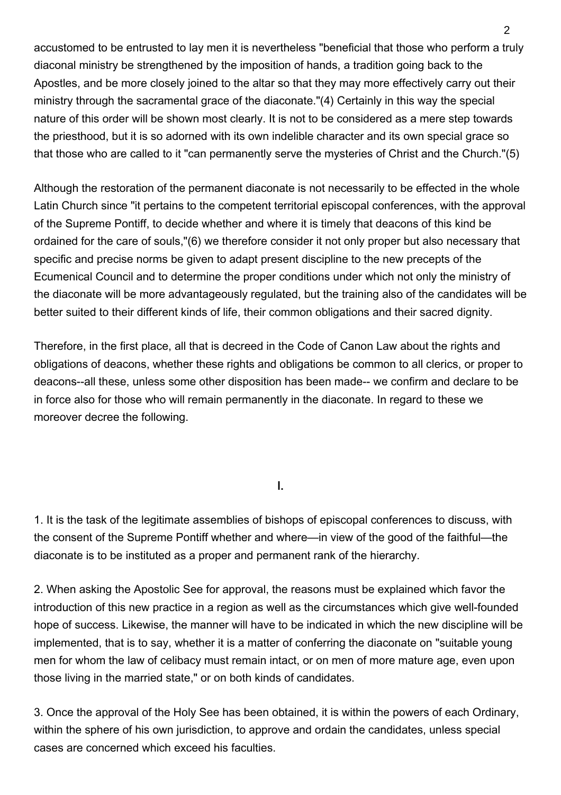accustomed to be entrusted to lay men it is nevertheless "beneficial that those who perform a truly diaconal ministry be strengthened by the imposition of hands, a tradition going back to the Apostles, and be more closely joined to the altar so that they may more effectively carry out their ministry through the sacramental grace of the diaconate."(4) Certainly in this way the special nature of this order will be shown most clearly. It is not to be considered as a mere step towards the priesthood, but it is so adorned with its own indelible character and its own special grace so that those who are called to it "can permanently serve the mysteries of Christ and the Church."(5)

Although the restoration of the permanent diaconate is not necessarily to be effected in the whole Latin Church since "it pertains to the competent territorial episcopal conferences, with the approval of the Supreme Pontiff, to decide whether and where it is timely that deacons of this kind be ordained for the care of souls,"(6) we therefore consider it not only proper but also necessary that specific and precise norms be given to adapt present discipline to the new precepts of the Ecumenical Council and to determine the proper conditions under which not only the ministry of the diaconate will be more advantageously regulated, but the training also of the candidates will be better suited to their different kinds of life, their common obligations and their sacred dignity.

Therefore, in the first place, all that is decreed in the Code of Canon Law about the rights and obligations of deacons, whether these rights and obligations be common to all clerics, or proper to deacons--all these, unless some other disposition has been made-- we confirm and declare to be in force also for those who will remain permanently in the diaconate. In regard to these we moreover decree the following.

#### I.

1. It is the task of the legitimate assemblies of bishops of episcopal conferences to discuss, with the consent of the Supreme Pontiff whether and where—in view of the good of the faithful—the diaconate is to be instituted as a proper and permanent rank of the hierarchy.

2. When asking the Apostolic See for approval, the reasons must be explained which favor the introduction of this new practice in a region as well as the circumstances which give well-founded hope of success. Likewise, the manner will have to be indicated in which the new discipline will be implemented, that is to say, whether it is a matter of conferring the diaconate on "suitable young men for whom the law of celibacy must remain intact, or on men of more mature age, even upon those living in the married state," or on both kinds of candidates.

3. Once the approval of the Holy See has been obtained, it is within the powers of each Ordinary, within the sphere of his own jurisdiction, to approve and ordain the candidates, unless special cases are concerned which exceed his faculties.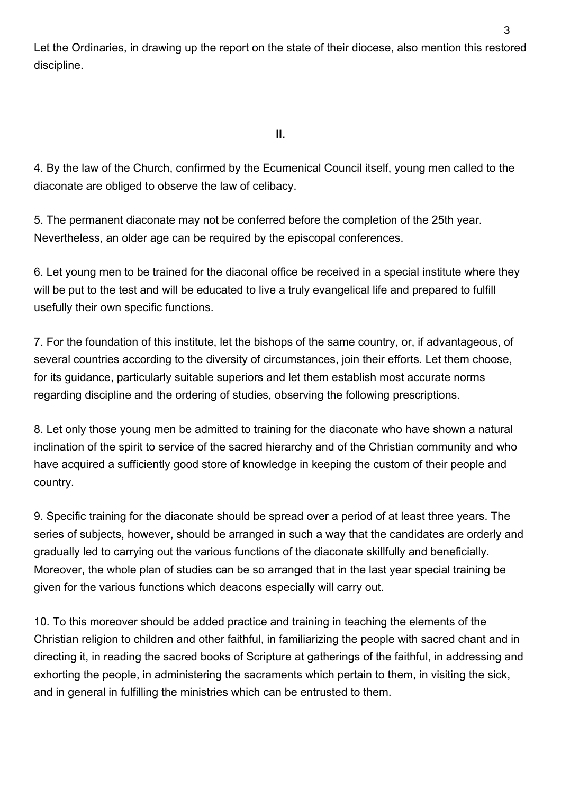Let the Ordinaries, in drawing up the report on the state of their diocese, also mention this restored discipline.

II.

4. By the law of the Church, confirmed by the Ecumenical Council itself, young men called to the diaconate are obliged to observe the law of celibacy.

5. The permanent diaconate may not be conferred before the completion of the 25th year. Nevertheless, an older age can be required by the episcopal conferences.

6. Let young men to be trained for the diaconal office be received in a special institute where they will be put to the test and will be educated to live a truly evangelical life and prepared to fulfill usefully their own specific functions.

7. For the foundation of this institute, let the bishops of the same country, or, if advantageous, of several countries according to the diversity of circumstances, join their efforts. Let them choose, for its guidance, particularly suitable superiors and let them establish most accurate norms regarding discipline and the ordering of studies, observing the following prescriptions.

8. Let only those young men be admitted to training for the diaconate who have shown a natural inclination of the spirit to service of the sacred hierarchy and of the Christian community and who have acquired a sufficiently good store of knowledge in keeping the custom of their people and country.

9. Specific training for the diaconate should be spread over a period of at least three years. The series of subjects, however, should be arranged in such a way that the candidates are orderly and gradually led to carrying out the various functions of the diaconate skillfully and beneficially. Moreover, the whole plan of studies can be so arranged that in the last year special training be given for the various functions which deacons especially will carry out.

10. To this moreover should be added practice and training in teaching the elements of the Christian religion to children and other faithful, in familiarizing the people with sacred chant and in directing it, in reading the sacred books of Scripture at gatherings of the faithful, in addressing and exhorting the people, in administering the sacraments which pertain to them, in visiting the sick, and in general in fulfilling the ministries which can be entrusted to them.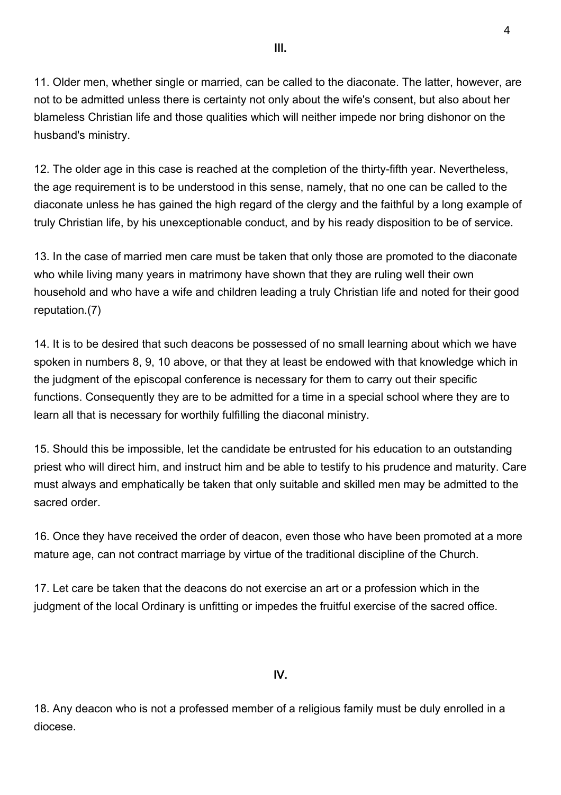11. Older men, whether single or married, can be called to the diaconate. The latter, however, are not to be admitted unless there is certainty not only about the wife's consent, but also about her blameless Christian life and those qualities which will neither impede nor bring dishonor on the husband's ministry.

12. The older age in this case is reached at the completion of the thirty-fifth year. Nevertheless, the age requirement is to be understood in this sense, namely, that no one can be called to the diaconate unless he has gained the high regard of the clergy and the faithful by a long example of truly Christian life, by his unexceptionable conduct, and by his ready disposition to be of service.

13. In the case of married men care must be taken that only those are promoted to the diaconate who while living many years in matrimony have shown that they are ruling well their own household and who have a wife and children leading a truly Christian life and noted for their good reputation.(7)

14. It is to be desired that such deacons be possessed of no small learning about which we have spoken in numbers 8, 9, 10 above, or that they at least be endowed with that knowledge which in the judgment of the episcopal conference is necessary for them to carry out their specific functions. Consequently they are to be admitted for a time in a special school where they are to learn all that is necessary for worthily fulfilling the diaconal ministry.

15. Should this be impossible, let the candidate be entrusted for his education to an outstanding priest who will direct him, and instruct him and be able to testify to his prudence and maturity. Care must always and emphatically be taken that only suitable and skilled men may be admitted to the sacred order.

16. Once they have received the order of deacon, even those who have been promoted at a more mature age, can not contract marriage by virtue of the traditional discipline of the Church.

17. Let care be taken that the deacons do not exercise an art or a profession which in the judgment of the local Ordinary is unfitting or impedes the fruitful exercise of the sacred office.

IV.

18. Any deacon who is not a professed member of a religious family must be duly enrolled in a diocese.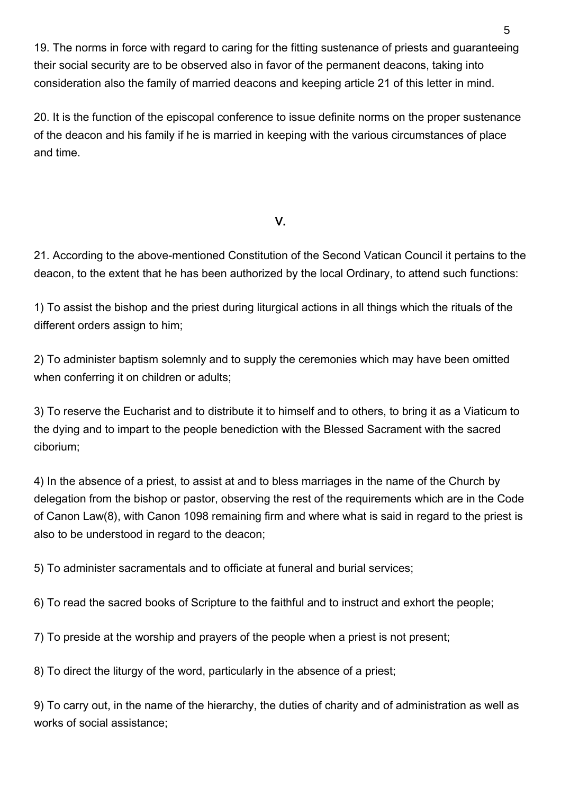19. The norms in force with regard to caring for the fitting sustenance of priests and guaranteeing their social security are to be observed also in favor of the permanent deacons, taking into consideration also the family of married deacons and keeping article 21 of this letter in mind.

20. It is the function of the episcopal conference to issue definite norms on the proper sustenance of the deacon and his family if he is married in keeping with the various circumstances of place and time.

### V.

21. According to the above-mentioned Constitution of the Second Vatican Council it pertains to the deacon, to the extent that he has been authorized by the local Ordinary, to attend such functions:

1) To assist the bishop and the priest during liturgical actions in all things which the rituals of the different orders assign to him;

2) To administer baptism solemnly and to supply the ceremonies which may have been omitted when conferring it on children or adults;

3) To reserve the Eucharist and to distribute it to himself and to others, to bring it as a Viaticum to the dying and to impart to the people benediction with the Blessed Sacrament with the sacred ciborium;

4) In the absence of a priest, to assist at and to bless marriages in the name of the Church by delegation from the bishop or pastor, observing the rest of the requirements which are in the Code of Canon Law(8), with Canon 1098 remaining firm and where what is said in regard to the priest is also to be understood in regard to the deacon;

5) To administer sacramentals and to officiate at funeral and burial services;

6) To read the sacred books of Scripture to the faithful and to instruct and exhort the people;

7) To preside at the worship and prayers of the people when a priest is not present;

8) To direct the liturgy of the word, particularly in the absence of a priest;

9) To carry out, in the name of the hierarchy, the duties of charity and of administration as well as works of social assistance;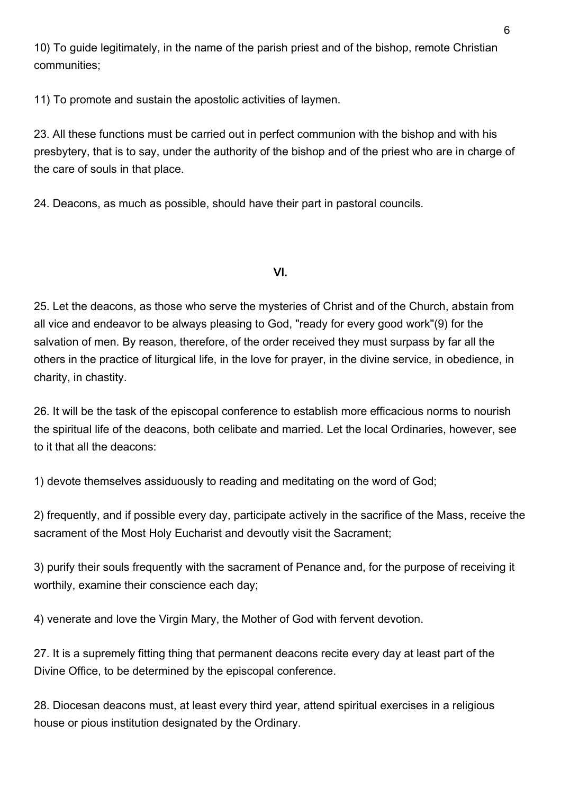10) To guide legitimately, in the name of the parish priest and of the bishop, remote Christian communities;

11) To promote and sustain the apostolic activities of laymen.

23. All these functions must be carried out in perfect communion with the bishop and with his presbytery, that is to say, under the authority of the bishop and of the priest who are in charge of the care of souls in that place.

24. Deacons, as much as possible, should have their part in pastoral councils.

### VI.

25. Let the deacons, as those who serve the mysteries of Christ and of the Church, abstain from all vice and endeavor to be always pleasing to God, "ready for every good work"(9) for the salvation of men. By reason, therefore, of the order received they must surpass by far all the others in the practice of liturgical life, in the love for prayer, in the divine service, in obedience, in charity, in chastity.

26. It will be the task of the episcopal conference to establish more efficacious norms to nourish the spiritual life of the deacons, both celibate and married. Let the local Ordinaries, however, see to it that all the deacons:

1) devote themselves assiduously to reading and meditating on the word of God;

2) frequently, and if possible every day, participate actively in the sacrifice of the Mass, receive the sacrament of the Most Holy Eucharist and devoutly visit the Sacrament;

3) purify their souls frequently with the sacrament of Penance and, for the purpose of receiving it worthily, examine their conscience each day;

4) venerate and love the Virgin Mary, the Mother of God with fervent devotion.

27. It is a supremely fitting thing that permanent deacons recite every day at least part of the Divine Office, to be determined by the episcopal conference.

28. Diocesan deacons must, at least every third year, attend spiritual exercises in a religious house or pious institution designated by the Ordinary.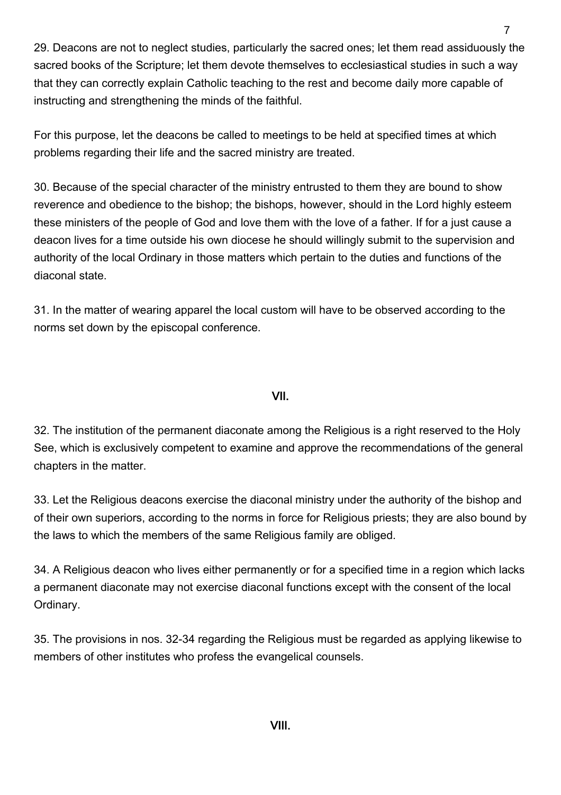29. Deacons are not to neglect studies, particularly the sacred ones; let them read assiduously the sacred books of the Scripture; let them devote themselves to ecclesiastical studies in such a way that they can correctly explain Catholic teaching to the rest and become daily more capable of instructing and strengthening the minds of the faithful.

7

For this purpose, let the deacons be called to meetings to be held at specified times at which problems regarding their life and the sacred ministry are treated.

30. Because of the special character of the ministry entrusted to them they are bound to show reverence and obedience to the bishop; the bishops, however, should in the Lord highly esteem these ministers of the people of God and love them with the love of a father. If for a just cause a deacon lives for a time outside his own diocese he should willingly submit to the supervision and authority of the local Ordinary in those matters which pertain to the duties and functions of the diaconal state.

31. In the matter of wearing apparel the local custom will have to be observed according to the norms set down by the episcopal conference.

#### VII.

32. The institution of the permanent diaconate among the Religious is a right reserved to the Holy See, which is exclusively competent to examine and approve the recommendations of the general chapters in the matter.

33. Let the Religious deacons exercise the diaconal ministry under the authority of the bishop and of their own superiors, according to the norms in force for Religious priests; they are also bound by the laws to which the members of the same Religious family are obliged.

34. A Religious deacon who lives either permanently or for a specified time in a region which lacks a permanent diaconate may not exercise diaconal functions except with the consent of the local Ordinary.

35. The provisions in nos. 32-34 regarding the Religious must be regarded as applying likewise to members of other institutes who profess the evangelical counsels.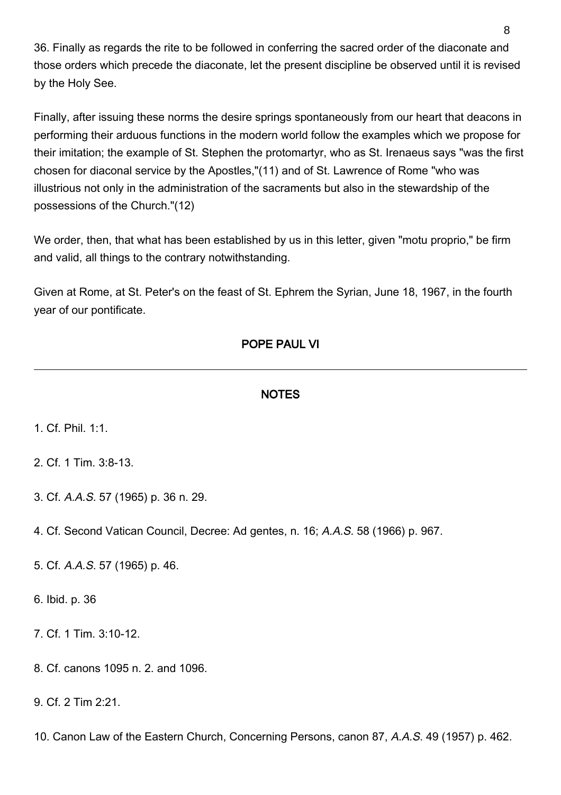36. Finally as regards the rite to be followed in conferring the sacred order of the diaconate and those orders which precede the diaconate, let the present discipline be observed until it is revised by the Holy See.

Finally, after issuing these norms the desire springs spontaneously from our heart that deacons in performing their arduous functions in the modern world follow the examples which we propose for their imitation; the example of St. Stephen the protomartyr, who as St. Irenaeus says "was the first chosen for diaconal service by the Apostles,"(11) and of St. Lawrence of Rome "who was illustrious not only in the administration of the sacraments but also in the stewardship of the possessions of the Church."(12)

We order, then, that what has been established by us in this letter, given "motu proprio," be firm and valid, all things to the contrary notwithstanding.

Given at Rome, at St. Peter's on the feast of St. Ephrem the Syrian, June 18, 1967, in the fourth year of our pontificate.

### POPE PAUL VI

#### **NOTES**

1. Cf. Phil. 1:1.

2. Cf. 1 Tim. 3:8-13.

- 3. Cf. A.A.S. 57 (1965) p. 36 n. 29.
- 4. Cf. Second Vatican Council, Decree: Ad gentes, n. 16; A.A.S. 58 (1966) p. 967.

5. Cf. A.A.S. 57 (1965) p. 46.

6. Ibid. p. 36

- 7. Cf. 1 Tim. 3:10-12.
- 8. Cf. canons 1095 n. 2. and 1096.

9. Cf. 2 Tim 2:21.

10. Canon Law of the Eastern Church, Concerning Persons, canon 87, A.A.S. 49 (1957) p. 462.